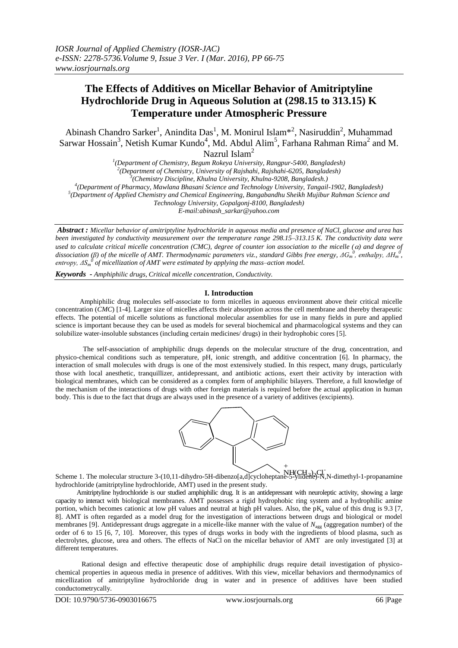# **The Effects of Additives on Micellar Behavior of Amitriptyline Hydrochloride Drug in Aqueous Solution at (298.15 to 313.15) K Temperature under Atmospheric Pressure**

Abinash Chandro Sarker<sup>1</sup>, Anindita Das<sup>1</sup>, M. Monirul Islam<sup>\*2</sup>, Nasiruddin<sup>2</sup>, Muhammad Sarwar Hossain<sup>3</sup>, Netish Kumar Kundo<sup>4</sup>, Md. Abdul Alim<sup>5</sup>, Farhana Rahman Rima<sup>2</sup> and M. Nazrul Islam<sup>2</sup>

 *(Department of Chemistry, Begum Rokeya University, Rangpur-5400, Bangladesh) (Department of Chemistry, University of Rajshahi, Rajshahi-6205, Bangladesh) (Chemistry Discipline, Khulna University, Khulna-9208, Bangladesh.) (Department of Pharmacy, Mawlana Bhasani Science and Technology University, Tangail-1902, Bangladesh)*

*5 (Department of Applied Chemistry and Chemical Engineering, Bangabandhu Sheikh Mujibur Rahman Science and* 

*Technology University, Gopalgonj-8100, Bangladesh)*

*E-mail:abinash\_sarkar@yahoo.com*

*Abstract : Micellar behavior of amitriptyline hydrochloride in aqueous media and presence of NaCl, glucose and urea has been investigated by conductivity measurement over the temperature range 298.15–313.15 K. The conductivity data were used to calculate critical micelle concentration (CMC), degree of counter ion association to the micelle () and degree of dissociation* (β) of the micelle of AMT. Thermodynamic parameters viz., standard Gibbs free energy, ΔG<sub>m</sub><sup>0</sup>, enthalpy, ΔH<sub>m</sub><sup>0</sup>, *entropy, ΔS<sup>m</sup> 0 of micellization of AMT were estimated by applying the mass–action model.*

*Keywords - Amphiphilic drugs, Critical micelle concentration, Conductivity.*

### **I. Introduction**

 Amphiphilic drug molecules self-associate to form micelles in aqueous environment above their critical micelle concentration (*CMC*) [1-4]. Larger size of micelles affects their absorption across the cell membrane and thereby therapeutic effects. The potential of micelle solutions as functional molecular assemblies for use in many fields in pure and applied science is important because they can be used as models for several biochemical and pharmacological systems and they can solubilize water-insoluble substances (including certain medicines/ drugs) in their hydrophobic cores [5].

 The self-association of amphiphilic drugs depends on the molecular structure of the drug, concentration, and physico-chemical conditions such as temperature, pH, ionic strength, and additive concentration [6]. In pharmacy, the interaction of small molecules with drugs is one of the most extensively studied. In this respect, many drugs, particularly those with local anesthetic, tranquillizer, antidepressant, and antibiotic actions, exert their activity by interaction with biological membranes, which can be considered as a complex form of amphiphilic bilayers. Therefore, a full knowledge of the mechanism of the interactions of drugs with other foreign materials is required before the actual application in human body. This is due to the fact that drugs are always used in the presence of a variety of additives (excipients).



Scheme 1. The molecular structure 3-(10,11-dihydro-5H-dibenzo[a,d]cycloheptane-5-ylidene)-N,N-dimethyl-1-propanamine hydrochloride (amitriptyline hydrochloride, AMT) used in the present study.

 Amitriptyline hydrochloride is our studied amphiphilic drug. It is an antidepressant with neuroleptic activity, showing a large capacity to interact with biological membranes. AMT possesses a rigid hydrophobic ring system and a hydrophilic amine portion, which becomes cationic at low pH values and neutral at high pH values. Also, the  $pK_a$  value of this drug is 9.3 [7, 8]. AMT is often regarded as a model drug for the investigation of interactions between drugs and biological or model membranes [9]. Antidepressant drugs aggregate in a micelle-like manner with the value of *N*agg (aggregation number) of the order of 6 to 15 [6, 7, 10]. Moreover, this types of drugs works in body with the ingredients of blood plasma, such as electrolytes, glucose, urea and others. The effects of NaCl on the micellar behavior of AMT are only investigated [3] at different temperatures.

Rational design and effective therapeutic dose of amphiphilic drugs require detail investigation of physicochemical properties in aqueous media in presence of additives. With this view, micellar behaviors and thermodynamics of micellization of amitriptyline hydrochloride drug in water and in presence of additives have been studied conductometrycally.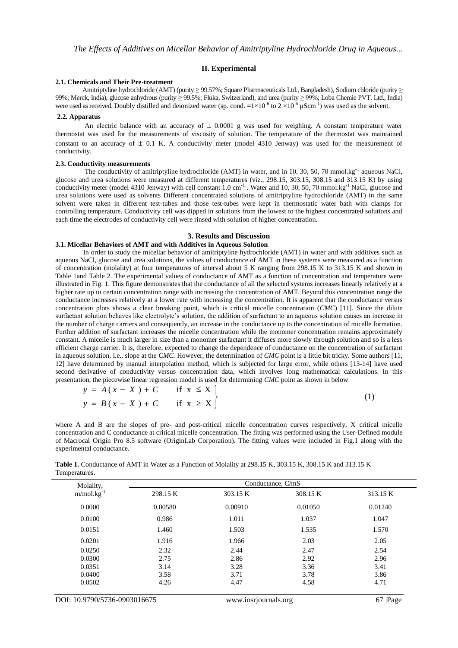### **II. Experimental**

### **2.1. Chemicals and Their Pre-treatment**

Amitriptyline hydrochloride (AMT) (purity  $\geq$  99.57%; Square Pharmaceuticals Ltd., Bangladesh), Sodium chloride (purity  $\geq$ 99%; Merck, India), glucose anhydrous (purity ≥ 99.5%; Fluka, Switzerland), and urea (purity ≥ 99%; Loba Chemie PVT. Ltd., India) were used as received. Doubly distilled and deionized water (sp. cond.  $=1 \times 10^{-6}$  to  $2 \times 10^{-6}$   $\mu$ Scm<sup>-1</sup>) was used as the solvent.

#### **2.2. Apparatus**

An electric balance with an accuracy of  $\pm$  0.0001 g was used for weighing. A constant temperature water thermostat was used for the measurements of viscosity of solution. The temperature of the thermostat was maintained constant to an accuracy of  $\pm$  0.1 K. A conductivity meter (model 4310 Jenway) was used for the measurement of conductivity.

### **2.3. Conductivity measurements**

The conductivity of amitriptyline hydrochloride (AMT) in water, and in 10, 30, 50, 70 mmol.kg<sup>-1</sup> aqueous NaCl, glucose and urea solutions were measured at different temperatures (viz., 298.15, 303.15, 308.15 and 313.15 K) by using conductivity meter (model 4310 Jenway) with cell constant  $1.0 \text{ cm}^{-1}$ . Water and  $10, 30, 50, 70 \text{ mmol}$ . Kg<sup>-1</sup> NaCl, glucose and urea solutions were used as solvents Different concentrated solutions of amitriptyline hydrochloride (AMT) in the same solvent were taken in different test-tubes and those test-tubes were kept in thermostatic water bath with clamps for controlling temperature. Conductivity cell was dipped in solutions from the lowest to the highest concentrated solutions and each time the electrodes of conductivity cell were rinsed with solution of higher concentration.

### **3. Results and Discussion**

# **3.1. Micellar Behaviors of AMT and with Additives in Aqueous Solution**

 In order to study the micellar behavior of amitriptyline hydrochloride (AMT) in water and with additives such as aqueous NaCl, glucose and urea solutions, the values of conductance of AMT in these systems were measured as a function of concentration (molality) at four temperatures of interval about 5 K ranging from 298.15 K to 313.15 K and shown in Table 1and Table 2. The experimental values of conductance of AMT as a function of concentration and temperature were illustrated in Fig. 1. This figure demonstrates that the conductance of all the selected systems increases linearly relatively at a higher rate up to certain concentration range with increasing the concentration of AMT. Beyond this concentration range the conductance increases relatively at a lower rate with increasing the concentration. It is apparent that the conductance versus concentration plots shows a clear breaking point, which is critical micelle concentration (*CMC*) [11]. Since the dilute surfactant solution behaves like electrolyte's solution, the addition of surfactant to an aqueous solution causes an increase in the number of charge carriers and consequently, an increase in the conductance up to the concentration of micelle formation. Further addition of surfactant increases the micelle concentration while the monomer concentration remains approximately constant. A micelle is much larger in size than a monomer surfactant it diffuses more slowly through solution and so is a less efficient charge carrier. It is, therefore, expected to change the dependence of conductance on the concentration of surfactant in aqueous solution, i.e., slope at the *CMC*. However, the determination of *CMC* point is a little bit tricky. Some authors [11, 12] have determined by manual interpolation method, which is subjected for large error, while others [13-14] have used second derivative of conductivity versus concentration data, which involves long mathematical calculations. In this presentation, the piecewise linear regression model is used for determining *CMC* point as shown in below

| $y = A(x - X) + C$ if $x \leq X$ |  |
|----------------------------------|--|
| $y = B(x - X) + C$ if $x \ge X$  |  |

where A and B are the slopes of pre- and post-critical micelle concentration curves respectively, X critical micelle concentration and C conductance at critical micelle concentration. The fitting was performed using the User-Defined module of Macrocal Origin Pro 8.5 software (OriginLab Corporation). The fitting values were included in Fig.1 along with the experimental conductance.

**Table 1.** Conductance of AMT in Water as a Function of Molality at 298.15 K, 303.15 K, 308.15 K and 313.15 K Temperatures.

| Molality,       | Conductance, C/mS |          |          |          |  |  |  |
|-----------------|-------------------|----------|----------|----------|--|--|--|
| $m/mol.kg^{-1}$ | 298.15 K          | 303.15 K | 308.15 K | 313.15 K |  |  |  |
| 0.0000          | 0.00580           | 0.00910  | 0.01050  | 0.01240  |  |  |  |
| 0.0100          | 0.986             | 1.011    | 1.037    | 1.047    |  |  |  |
| 0.0151          | 1.460             | 1.503    | 1.535    | 1.570    |  |  |  |
| 0.0201          | 1.916             | 1.966    | 2.03     | 2.05     |  |  |  |
| 0.0250          | 2.32              | 2.44     | 2.47     | 2.54     |  |  |  |
| 0.0300          | 2.75              | 2.86     | 2.92     | 2.96     |  |  |  |
| 0.0351          | 3.14              | 3.28     | 3.36     | 3.41     |  |  |  |
| 0.0400          | 3.58              | 3.71     | 3.78     | 3.86     |  |  |  |
| 0.0502          | 4.26              | 4.47     | 4.58     | 4.71     |  |  |  |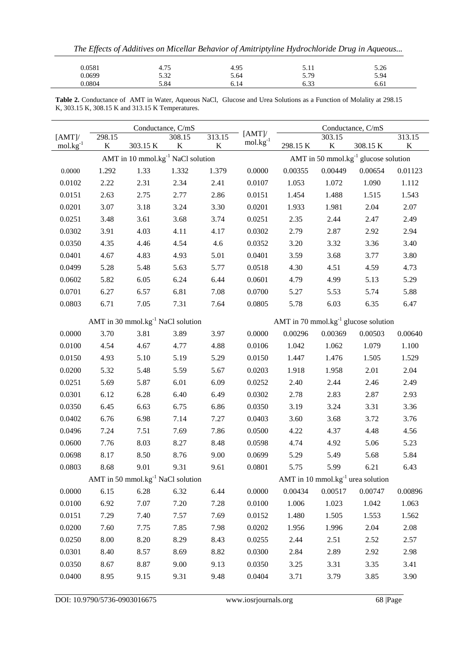| The Effects of Additives on Micellar Behavior of Amitriptyline Hydrochloride Drug in Aqueous |      |      |      |      |  |  |
|----------------------------------------------------------------------------------------------|------|------|------|------|--|--|
| 0.0581                                                                                       | 4.75 | 4.95 | 5.11 | 5.26 |  |  |
| 0.0699                                                                                       | 5.32 | 5.64 | 5.79 | 5.94 |  |  |
| 0.0804                                                                                       | 5.84 | 6.14 | 6.33 | 6.61 |  |  |

**Table 2.** Conductance of AMT in Water, Aqueous NaCl, Glucose and Urea Solutions as a Function of Molality at 298.15 K, 303.15 K, 308.15 K and 313.15 K Temperatures.

|                                   |          | Conductance, C/mS<br>[AMT]                    |         |         | Conductance, C/mS |                                                  |             |                                            |         |
|-----------------------------------|----------|-----------------------------------------------|---------|---------|-------------------|--------------------------------------------------|-------------|--------------------------------------------|---------|
| $[AMT]$ /                         | 298.15   |                                               | 308.15  | 313.15  | $m$ ol. $kg^{-1}$ |                                                  | 303.15      |                                            | 313.15  |
| $\text{mol} \cdot \text{kg}^{-1}$ | $\bf K$  | 303.15 K                                      | $\bf K$ | $\bf K$ |                   | 298.15 K                                         | $\mathbf K$ | 308.15 K                                   | $\bf K$ |
|                                   |          | AMT in 10 mmol.kg <sup>-1</sup> NaCl solution |         |         |                   |                                                  |             | AMT in 50 mmol.kg $^{-1}$ glucose solution |         |
| 0.0000                            | 1.292    | 1.33                                          | 1.332   | 1.379   | 0.0000            | 0.00355                                          | 0.00449     | 0.00654                                    | 0.01123 |
| 0.0102                            | 2.22     | 2.31                                          | 2.34    | 2.41    | 0.0107            | 1.053                                            | 1.072       | 1.090                                      | 1.112   |
| 0.0151                            | 2.63     | 2.75                                          | 2.77    | 2.86    | 0.0151            | 1.454                                            | 1.488       | 1.515                                      | 1.543   |
| 0.0201                            | 3.07     | 3.18                                          | 3.24    | 3.30    | 0.0201            | 1.933                                            | 1.981       | 2.04                                       | 2.07    |
| 0.0251                            | 3.48     | 3.61                                          | 3.68    | 3.74    | 0.0251            | 2.35                                             | 2.44        | 2.47                                       | 2.49    |
| 0.0302                            | 3.91     | 4.03                                          | 4.11    | 4.17    | 0.0302            | 2.79                                             | 2.87        | 2.92                                       | 2.94    |
| 0.0350                            | 4.35     | 4.46                                          | 4.54    | 4.6     | 0.0352            | 3.20                                             | 3.32        | 3.36                                       | 3.40    |
| 0.0401                            | 4.67     | 4.83                                          | 4.93    | 5.01    | 0.0401            | 3.59                                             | 3.68        | 3.77                                       | 3.80    |
| 0.0499                            | 5.28     | 5.48                                          | 5.63    | 5.77    | 0.0518            | 4.30                                             | 4.51        | 4.59                                       | 4.73    |
| 0.0602                            | 5.82     | 6.05                                          | 6.24    | 6.44    | 0.0601            | 4.79                                             | 4.99        | 5.13                                       | 5.29    |
| 0.0701                            | 6.27     | 6.57                                          | 6.81    | 7.08    | 0.0700            | 5.27                                             | 5.53        | 5.74                                       | 5.88    |
| 0.0803                            | 6.71     | 7.05                                          | 7.31    | 7.64    | 0.0805            | 5.78                                             | 6.03        | 6.35                                       | 6.47    |
|                                   |          | AMT in 30 mmol.kg <sup>-1</sup> NaCl solution |         |         |                   | AMT in 70 mmol.kg <sup>-1</sup> glucose solution |             |                                            |         |
| 0.0000                            | 3.70     | 3.81                                          | 3.89    | 3.97    | 0.0000            | 0.00296                                          | 0.00369     | 0.00503                                    | 0.00640 |
| 0.0100                            | 4.54     | 4.67                                          | 4.77    | 4.88    | 0.0106            | 1.042                                            | 1.062       | 1.079                                      | 1.100   |
| 0.0150                            | 4.93     | 5.10                                          | 5.19    | 5.29    | 0.0150            | 1.447                                            | 1.476       | 1.505                                      | 1.529   |
| 0.0200                            | 5.32     | 5.48                                          | 5.59    | 5.67    | 0.0203            | 1.918                                            | 1.958       | 2.01                                       | 2.04    |
| 0.0251                            | 5.69     | 5.87                                          | 6.01    | 6.09    | 0.0252            | 2.40                                             | 2.44        | 2.46                                       | 2.49    |
| 0.0301                            | 6.12     | 6.28                                          | 6.40    | 6.49    | 0.0302            | 2.78                                             | 2.83        | 2.87                                       | 2.93    |
| 0.0350                            | 6.45     | 6.63                                          | 6.75    | 6.86    | 0.0350            | 3.19                                             | 3.24        | 3.31                                       | 3.36    |
| 0.0402                            | 6.76     | 6.98                                          | 7.14    | 7.27    | 0.0403            | 3.60                                             | 3.68        | 3.72                                       | 3.76    |
| 0.0496                            | 7.24     | 7.51                                          | 7.69    | 7.86    | 0.0500            | 4.22                                             | 4.37        | 4.48                                       | 4.56    |
| 0.0600                            | 7.76     | 8.03                                          | 8.27    | 8.48    | 0.0598            | 4.74                                             | 4.92        | 5.06                                       | 5.23    |
| 0.0698                            | 8.17     | 8.50                                          | 8.76    | 9.00    | 0.0699            | 5.29                                             | 5.49        | 5.68                                       | 5.84    |
| 0.0803                            | 8.68     | 9.01                                          | 9.31    | 9.61    | 0.0801            | 5.75                                             | 5.99        | 6.21                                       | 6.43    |
|                                   |          | AMT in 50 mmol.kg $^{-1}$ NaCl solution       |         |         |                   |                                                  |             | AMT in 10 mmol.kg $^{-1}$ urea solution    |         |
| 0.0000                            | 6.15     | 6.28                                          | 6.32    | 6.44    | 0.0000            | 0.00434                                          | 0.00517     | 0.00747                                    | 0.00896 |
| 0.0100                            | 6.92     | 7.07                                          | 7.20    | 7.28    | 0.0100            | 1.006                                            | 1.023       | 1.042                                      | 1.063   |
| 0.0151                            | 7.29     | 7.40                                          | 7.57    | 7.69    | 0.0152            | 1.480                                            | 1.505       | 1.553                                      | 1.562   |
| 0.0200                            | 7.60     | 7.75                                          | 7.85    | 7.98    | 0.0202            | 1.956                                            | 1.996       | 2.04                                       | 2.08    |
| 0.0250                            | $8.00\,$ | 8.20                                          | 8.29    | 8.43    | 0.0255            | 2.44                                             | 2.51        | 2.52                                       | 2.57    |
| 0.0301                            | 8.40     | 8.57                                          | 8.69    | 8.82    | 0.0300            | 2.84                                             | 2.89        | 2.92                                       | 2.98    |
| 0.0350                            | 8.67     | 8.87                                          | 9.00    | 9.13    | 0.0350            | 3.25                                             | 3.31        | 3.35                                       | 3.41    |
| 0.0400                            | 8.95     | 9.15                                          | 9.31    | 9.48    | 0.0404            | 3.71                                             | 3.79        | 3.85                                       | 3.90    |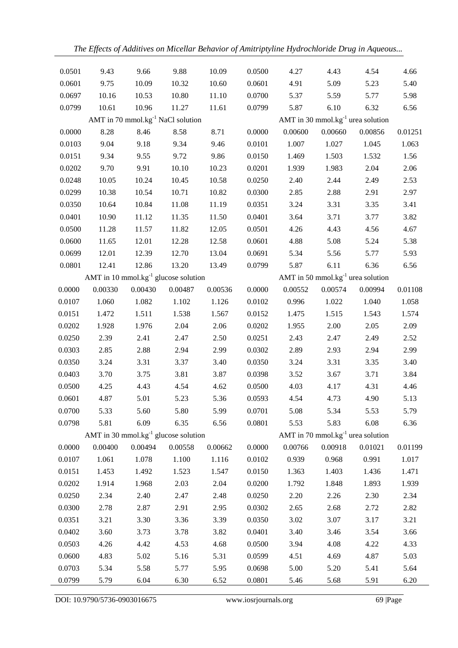| 0.0501<br>9.43<br>9.66<br>9.88             | 10.09   | 0.0500 | 4.27                                    | 4.43    | 4.54    | 4.66    |
|--------------------------------------------|---------|--------|-----------------------------------------|---------|---------|---------|
| 0.0601<br>9.75<br>10.09<br>10.32           | 10.60   | 0.0601 | 4.91                                    | 5.09    | 5.23    | 5.40    |
| 10.80<br>0.0697<br>10.16<br>10.53          | 11.10   | 0.0700 | 5.37                                    | 5.59    | 5.77    | 5.98    |
| 0.0799<br>10.61<br>10.96<br>11.27          | 11.61   | 0.0799 | 5.87                                    | 6.10    | 6.32    | 6.56    |
| AMT in 70 mmol.kg $^{-1}$ NaCl solution    |         |        | AMT in 30 mmol.kg $^{-1}$ urea solution |         |         |         |
| 0.0000<br>8.28<br>8.46<br>8.58             | 8.71    | 0.0000 | 0.00600                                 | 0.00660 | 0.00856 | 0.01251 |
| 9.18<br>0.0103<br>9.04<br>9.34             | 9.46    | 0.0101 | 1.007                                   | 1.027   | 1.045   | 1.063   |
| 0.0151<br>9.34<br>9.55<br>9.72             | 9.86    | 0.0150 | 1.469                                   | 1.503   | 1.532   | 1.56    |
| 9.70<br>9.91<br>10.10<br>0.0202            | 10.23   | 0.0201 | 1.939                                   | 1.983   | 2.04    | 2.06    |
| 10.05<br>0.0248<br>10.24<br>10.45          | 10.58   | 0.0250 | 2.40                                    | 2.44    | 2.49    | 2.53    |
| 10.38<br>0.0299<br>10.54<br>10.71          | 10.82   | 0.0300 | 2.85                                    | 2.88    | 2.91    | 2.97    |
| 0.0350<br>10.64<br>10.84<br>11.08          | 11.19   | 0.0351 | 3.24                                    | 3.31    | 3.35    | 3.41    |
| 10.90<br>0.0401<br>11.12<br>11.35          | 11.50   | 0.0401 | 3.64                                    | 3.71    | 3.77    | 3.82    |
| 0.0500<br>11.28<br>11.57<br>11.82          | 12.05   | 0.0501 | 4.26                                    | 4.43    | 4.56    | 4.67    |
| 0.0600<br>11.65<br>12.01<br>12.28          | 12.58   | 0.0601 | 4.88                                    | 5.08    | 5.24    | 5.38    |
| 12.01<br>0.0699<br>12.39<br>12.70          | 13.04   | 0.0691 | 5.34                                    | 5.56    | 5.77    | 5.93    |
| 12.86<br>0.0801<br>12.41<br>13.20          | 13.49   | 0.0799 | 5.87                                    | 6.11    | 6.36    | 6.56    |
| AMT in 10 mmol.kg $^{-1}$ glucose solution |         |        | AMT in 50 mmol.kg $^{-1}$ urea solution |         |         |         |
| 0.0000<br>0.00330<br>0.00430<br>0.00487    | 0.00536 | 0.0000 | 0.00552                                 | 0.00574 | 0.00994 | 0.01108 |
| 1.082<br>0.0107<br>1.060<br>1.102          | 1.126   | 0.0102 | 0.996                                   | 1.022   | 1.040   | 1.058   |
| 0.0151<br>1.472<br>1.511<br>1.538          | 1.567   | 0.0152 | 1.475                                   | 1.515   | 1.543   | 1.574   |
| 2.04<br>0.0202<br>1.928<br>1.976           | 2.06    | 0.0202 | 1.955                                   | 2.00    | 2.05    | 2.09    |
| 2.39<br>2.41<br>2.47<br>0.0250             | 2.50    | 0.0251 | 2.43                                    | 2.47    | 2.49    | 2.52    |
| 0.0303<br>2.85<br>2.88<br>2.94             | 2.99    | 0.0302 | 2.89                                    | 2.93    | 2.94    | 2.99    |
| 0.0350<br>3.24<br>3.31<br>3.37             | 3.40    | 0.0350 | 3.24                                    | 3.31    | 3.35    | 3.40    |
| 3.81<br>0.0403<br>3.70<br>3.75             | 3.87    | 0.0398 | 3.52                                    | 3.67    | 3.71    | 3.84    |
| 0.0500<br>4.25<br>4.43<br>4.54             | 4.62    | 0.0500 | 4.03                                    | 4.17    | 4.31    | 4.46    |
| 0.0601<br>4.87<br>5.01<br>5.23             | 5.36    | 0.0593 | 4.54                                    | 4.73    | 4.90    | 5.13    |
| 0.0700<br>5.33<br>5.60<br>5.80             | 5.99    | 0.0701 | 5.08                                    | 5.34    | 5.53    | 5.79    |
| 5.81<br>6.09<br>0.0798<br>6.35             | 6.56    | 0.0801 | 5.53                                    | 5.83    | 6.08    | 6.36    |
| AMT in 30 mmol. $kg^{-1}$ glucose solution |         |        | AMT in 70 mmol.kg $^{-1}$ urea solution |         |         |         |
| 0.00494<br>0.0000<br>0.00400<br>0.00558    | 0.00662 | 0.0000 | 0.00766                                 | 0.00918 | 0.01021 | 0.01199 |
| 0.0107<br>1.061<br>1.078<br>1.100          | 1.116   | 0.0102 | 0.939                                   | 0.968   | 0.991   | 1.017   |
| 1.453<br>1.492<br>0.0151<br>1.523          | 1.547   | 0.0150 | 1.363                                   | 1.403   | 1.436   | 1.471   |
| 0.0202<br>2.03<br>1.914<br>1.968           | 2.04    | 0.0200 | 1.792                                   | 1.848   | 1.893   | 1.939   |
| 2.40<br>0.0250<br>2.34<br>2.47             | 2.48    | 0.0250 | 2.20                                    | 2.26    | 2.30    | 2.34    |
| 0.0300<br>2.78<br>2.87<br>2.91             | 2.95    | 0.0302 | 2.65                                    | 2.68    | 2.72    | 2.82    |
| 0.0351<br>3.21<br>3.30<br>3.36             | 3.39    | 0.0350 | 3.02                                    | 3.07    | 3.17    | 3.21    |
| 3.60<br>3.73<br>3.78<br>0.0402             | 3.82    | 0.0401 | 3.40                                    | 3.46    | 3.54    | 3.66    |
| 0.0503<br>4.42<br>4.26<br>4.53             | 4.68    | 0.0500 | 3.94                                    | 4.08    | 4.22    | 4.33    |
| 0.0600<br>4.83<br>5.02<br>5.16             | 5.31    | 0.0599 | 4.51                                    | 4.69    | 4.87    | 5.03    |
| 0.0703<br>5.34<br>5.58<br>5.77             | 5.95    | 0.0698 | 5.00                                    | 5.20    | 5.41    | 5.64    |
| 0.0799<br>5.79<br>6.04<br>6.30             | 6.52    | 0.0801 | 5.46                                    | 5.68    | 5.91    | 6.20    |

DOI: 10.9790/5736-0903016675 www.iosrjournals.org 69 |Page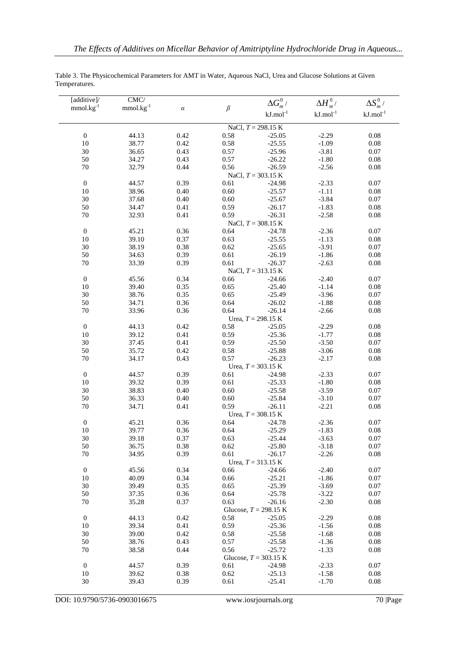| [additive]/            | CMC/           |              |              | $\Delta G_{m}^{0}$ /             | $\Delta H_m^0/$    | $\Delta S_m^0/$   |
|------------------------|----------------|--------------|--------------|----------------------------------|--------------------|-------------------|
| $mmol.kg^{-1}$         | $mmol.kg-1$    | $\alpha$     | $\beta$      | $\mathrm{kJ}.\mathrm{mol}^{-1}$  | $kJ$ .mol $^{-1}$  | $kJ$ .mol $^{-1}$ |
|                        |                |              |              | NaCl, $T = 298.15$ K             |                    |                   |
| $\boldsymbol{0}$       | 44.13          | 0.42         | 0.58         | $-25.05$                         | $-2.29$            | $0.08\,$          |
| $10\,$                 | 38.77          | 0.42         | 0.58         | $-25.55$                         | $-1.09$            | 0.08              |
| 30                     |                | 0.43         | 0.57         | $-25.96$                         | $-3.81$            | 0.07              |
|                        | 36.65          |              |              |                                  |                    |                   |
| 50                     | 34.27          | 0.43         | 0.57         | $-26.22$                         | $-1.80$            | 0.08              |
| 70                     | 32.79          | 0.44         | 0.56         | $-26.59$<br>NaCl, $T = 303.15$ K | $-2.56$            | 0.08              |
| $\boldsymbol{0}$       | 44.57          | 0.39         | 0.61         | $-24.98$                         | $-2.33$            | 0.07              |
| $10\,$                 | 38.96          | 0.40         | 0.60         | $-25.57$                         | $-1.11$            | 0.08              |
| 30                     | 37.68          | 0.40         | 0.60         | $-25.67$                         | $-3.84$            | 0.07              |
| 50                     | 34.47          | 0.41         | 0.59         | $-26.17$                         | $-1.83$            | 0.08              |
|                        |                |              |              |                                  |                    |                   |
| $70\,$                 | 32.93          | 0.41         | 0.59         | $-26.31$<br>NaCl, $T = 308.15$ K | $-2.58$            | 0.08              |
| $\boldsymbol{0}$       | 45.21          | 0.36         | 0.64         | $-24.78$                         | $-2.36$            | 0.07              |
|                        |                |              |              |                                  |                    |                   |
| $10\,$                 | 39.10          | 0.37         | 0.63         | $-25.55$                         | $-1.13$            | 0.08              |
| 30                     | 38.19          | 0.38         | 0.62         | $-25.65$                         | $-3.91$            | $0.07\,$          |
| 50                     | 34.63          | 0.39         | 0.61         | $-26.19$                         | $-1.86$            | 0.08              |
| $70\,$                 | 33.39          | 0.39         | 0.61         | $-26.37$                         | $-2.63$            | 0.08              |
|                        |                |              |              | NaCl, $T = 313.15$ K             |                    |                   |
| $\boldsymbol{0}$       | 45.56          | 0.34         | 0.66         | $-24.66$                         | $-2.40$            | 0.07              |
| 10                     | 39.40          | 0.35         | 0.65         | $-25.40$                         | $-1.14$            | 0.08              |
| 30                     | 38.76          | 0.35         | 0.65         | $-25.49$                         | $-3.96$            | $0.07\,$          |
| 50                     | 34.71          | 0.36         | 0.64         | $-26.02$                         | $-1.88$            | $0.08\,$          |
| $70\,$                 | 33.96          | 0.36         | 0.64         | $-26.14$                         | $-2.66$            | 0.08              |
|                        |                |              |              | Urea, $T = 298.15$ K             |                    |                   |
| $\boldsymbol{0}$       | 44.13          | 0.42         | 0.58         | $-25.05$                         | $-2.29$            | 0.08              |
| $10\,$                 | 39.12          | 0.41         | 0.59         | $-25.36$                         | $-1.77$            | $0.08\,$          |
| 30                     | 37.45          | 0.41         | 0.59         | $-25.50$                         | $-3.50$            | 0.07              |
| 50                     | 35.72          | 0.42         | 0.58         | $-25.88$                         | $-3.06$            | 0.08              |
| 70                     | 34.17          | 0.43         | 0.57         | $-26.23$                         | $-2.17$            | 0.08              |
|                        |                |              |              | Urea, $T = 303.15$ K             |                    |                   |
| $\boldsymbol{0}$       | 44.57          | 0.39         | 0.61         | $-24.98$                         | $-2.33$            | $0.07\,$          |
| $10\,$                 | 39.32          | 0.39         | 0.61         | $-25.33$                         | $-1.80$            | $0.08\,$          |
| 30                     | 38.83          | 0.40         | 0.60         | $-25.58$                         | $-3.59$            | $0.07\,$          |
| 50                     |                | 0.40         |              | $-25.84$                         |                    |                   |
|                        | 36.33          |              | 0.60         |                                  | $-3.10$            | 0.07              |
| $70\,$                 | 34.71          | 0.41         | 0.59         | $-26.11$                         | $-2.21$            | $0.08\,$          |
|                        |                |              |              | Urea, $T = 308.15$ K             |                    |                   |
| $\boldsymbol{0}$       | 45.21          | 0.36         | 0.64         | $-24.78$                         | $-2.36$            | 0.07              |
| $10\,$                 | 39.77          | 0.36         | 0.64         | $-25.29$                         | $-1.83$            | 0.08              |
| 30                     | 39.18          | 0.37         | 0.63         | $-25.44$                         | $-3.63$            | 0.07              |
| 50                     | 36.75          | 0.38         | 0.62         | $-25.80$                         | $-3.18$            | 0.07              |
| $70\,$                 | 34.95          | 0.39         | 0.61         | $-26.17$                         | $-2.26$            | 0.08              |
|                        |                |              |              | Urea, $T = 313.15$ K             |                    |                   |
| $\boldsymbol{0}$       | 45.56          | 0.34         | 0.66         | $-24.66$                         | $-2.40$            | 0.07              |
| 10                     | 40.09          | 0.34         | 0.66         | $-25.21$                         | $-1.86$            | $0.07\,$          |
| 30                     | 39.49          | 0.35         | 0.65         | $-25.39$                         | $-3.69$            | 0.07              |
| 50                     | 37.35          | 0.36         | 0.64         | $-25.78$                         | $-3.22$            | 0.07              |
| 70                     | 35.28          | 0.37         | 0.63         | $-26.16$                         | $-2.30$            | 0.08              |
|                        |                |              |              | Glucose, $T = 298.15$ K          |                    |                   |
| $\boldsymbol{0}$       | 44.13          | 0.42         | 0.58         | $-25.05$                         | $-2.29$            | 0.08              |
| 10                     | 39.34          | 0.41         | 0.59         | $-25.36$                         | $-1.56$            | 0.08              |
| 30                     | 39.00          | 0.42         | 0.58         | $-25.58$                         | $-1.68$            | 0.08              |
| 50                     | 38.76          | 0.43         | 0.57         | $-25.58$                         | $-1.36$            | 0.08              |
| $70\,$                 | 38.58          | 0.44         | 0.56         | $-25.72$                         | $-1.33$            | 0.08              |
|                        |                |              |              | Glucose, $T = 303.15$ K          |                    |                   |
|                        |                |              |              |                                  |                    |                   |
|                        |                |              |              |                                  |                    |                   |
| $\boldsymbol{0}$<br>10 | 44.57<br>39.62 | 0.39<br>0.38 | 0.61<br>0.62 | $-24.98$<br>$-25.13$             | $-2.33$<br>$-1.58$ | 0.07<br>0.08      |

Table 3. The Physicochemical Parameters for AMT in Water, Aqueous NaCl, Urea and Glucose Solutions at Given Temperatures.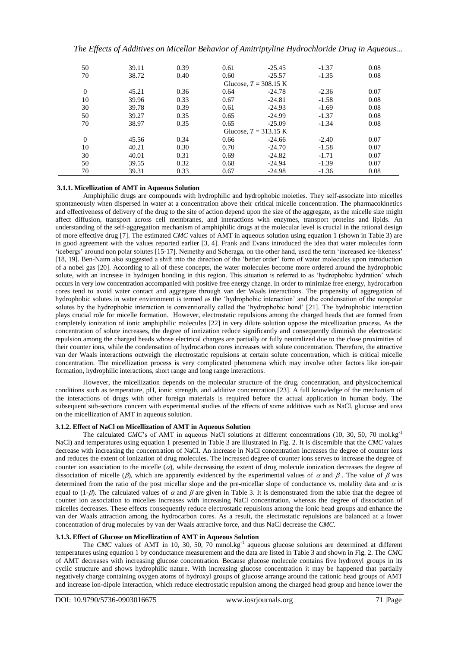*The Effects of Additives on Micellar Behavior of Amitriptyline Hydrochloride Drug in Aqueous...*

| 50       | 39.11 | 0.39 | 0.61 | $-25.45$                | $-1.37$ | 0.08 |
|----------|-------|------|------|-------------------------|---------|------|
| 70       | 38.72 | 0.40 | 0.60 | $-25.57$                | $-1.35$ | 0.08 |
|          |       |      |      | Glucose, $T = 308.15$ K |         |      |
| $\theta$ | 45.21 | 0.36 | 0.64 | $-24.78$                | $-2.36$ | 0.07 |
| 10       | 39.96 | 0.33 | 0.67 | $-24.81$                | $-1.58$ | 0.08 |
| 30       | 39.78 | 0.39 | 0.61 | $-24.93$                | $-1.69$ | 0.08 |
| 50       | 39.27 | 0.35 | 0.65 | $-24.99$                | $-1.37$ | 0.08 |
| 70       | 38.97 | 0.35 | 0.65 | $-25.09$                | $-1.34$ | 0.08 |
|          |       |      |      | Glucose, $T = 313.15$ K |         |      |
| $\theta$ | 45.56 | 0.34 | 0.66 | $-24.66$                | $-2.40$ | 0.07 |
| 10       | 40.21 | 0.30 | 0.70 | $-24.70$                | $-1.58$ | 0.07 |
| 30       | 40.01 | 0.31 | 0.69 | $-24.82$                | $-1.71$ | 0.07 |
| 50       | 39.55 | 0.32 | 0.68 | $-24.94$                | $-1.39$ | 0.07 |
| 70       | 39.31 | 0.33 | 0.67 | $-24.98$                | $-1.36$ | 0.08 |

# **3.1.1. Micellization of AMT in Aqueous Solution**

 Amphiphilic drugs are compounds with hydrophilic and hydrophobic moieties. They self-associate into micelles spontaneously when dispersed in water at a concentration above their critical micelle concentration. The pharmacokinetics and effectiveness of delivery of the drug to the site of action depend upon the size of the aggregate, as the micelle size might affect diffusion, transport across cell membranes, and interactions with enzymes, transport proteins and lipids. An understanding of the self-aggregation mechanism of amphiphilic drugs at the molecular level is crucial in the rational design of more effective drug [7]. The estimated *CMC* values of AMT in aqueous solution using equation 1 (shown in Table 3) are in good agreement with the values reported earlier [3, 4]. Frank and Evans introduced the idea that water molecules form 'icebergs' around non polar solutes [15-17]. Nemethy and Scheraga, on the other hand, used the term 'increased ice-likeness' [18, 19]. Ben-Naim also suggested a shift into the direction of the 'better order' form of water molecules upon introduction of a nobel gas [20]. According to all of these concepts, the water molecules become more ordered around the hydrophobic solute, with an increase in hydrogen bonding in this region. This situation is referred to as 'hydrophobic hydration' which occurs in very low concentration accompanied with positive free energy change. In order to minimize free energy, hydrocarbon cores tend to avoid water contact and aggregate through van der Waals interactions. The propensity of aggregation of hydrophobic solutes in water environment is termed as the 'hydrophobic interaction' and the condensation of the nonpolar solutes by the hydrophobic interaction is conventionally called the 'hydrophobic bond' [21]. The hydrophobic interaction plays crucial role for micelle formation. However, electrostatic repulsions among the charged heads that are formed from completely ionization of ionic amphiphilic molecules [22] in very dilute solution oppose the micellization process. As the concentration of solute increases, the degree of ionization reduce significantly and consequently diminish the electrostatic repulsion among the charged heads whose electrical charges are partially or fully neutralized due to the close proximities of their counter ions, while the condensation of hydrocarbon cores increases with solute concentration. Therefore, the attractive van der Waals interactions outweigh the electrostatic repulsions at certain solute concentration, which is critical micelle concentration. The micellization process is very complicated phenomena which may involve other factors like ion-pair formation, hydrophilic interactions, short range and long range interactions.

However, the micellization depends on the molecular structure of the drug, concentration, and physicochemical conditions such as temperature, pH, ionic strength, and additive concentration [23]. A full knowledge of the mechanism of the interactions of drugs with other foreign materials is required before the actual application in human body. The subsequent sub-sections concern with experimental studies of the effects of some additives such as NaCl, glucose and urea on the micellization of AMT in aqueous solution.

# **3.1.2. Effect of NaCl on Micellization of AMT in Aqueous Solution**

The calculated *CMC*'s of AMT in aqueous NaCl solutions at different concentrations (10, 30, 50, 70 mol.kg-1 NaCl) and temperatures using equation 1 presented in Table 3 are illustrated in Fig. 2. It is discernible that the *CMC* values decrease with increasing the concentration of NaCl. An increase in NaCl concentration increases the degree of counter ions and reduces the extent of ionization of drug molecules. The increased degree of counter ions serves to increase the degree of counter ion association to the micelle  $(a)$ , while decreasing the extent of drug molecule ionization decreases the degree of dissociation of micelle ( $\beta$ ), which are apparently evidenced by the experimental values of  $\alpha$  and  $\beta$ . The value of  $\beta$  was determined from the ratio of the post micellar slope and the pre-micellar slope of conductance vs. molality data and  $\alpha$  is equal to (1- $\beta$ ). The calculated values of  $\alpha$  and  $\beta$  are given in Table 3. It is demonstrated from the table that the degree of counter ion association to micelles increases with increasing NaCl concentration, whereas the degree of dissociation of micelles decreases. These effects consequently reduce electrostatic repulsions among the ionic head groups and enhance the van der Waals attraction among the hydrocarbon cores. As a result, the electrostatic repulsions are balanced at a lower concentration of drug molecules by van der Waals attractive force, and thus NaCl decrease the *CMC*.

# **3.1.3. Effect of Glucose on Micellization of AMT in Aqueous Solution**

The *CMC* values of AMT in 10, 30, 50, 70 mmol.kg<sup>-1</sup> aqueous glucose solutions are determined at different temperatures using equation 1 by conductance measurement and the data are listed in Table 3 and shown in Fig. 2. The *CMC* of AMT decreases with increasing glucose concentration. Because glucose molecule contains five hydroxyl groups in its cyclic structure and shows hydrophilic nature. With increasing glucose concentration it may be happened that partially negatively charge containing oxygen atoms of hydroxyl groups of glucose arrange around the cationic head groups of AMT and increase ion-dipole interaction, which reduce electrostatic repulsion among the charged head group and hence lower the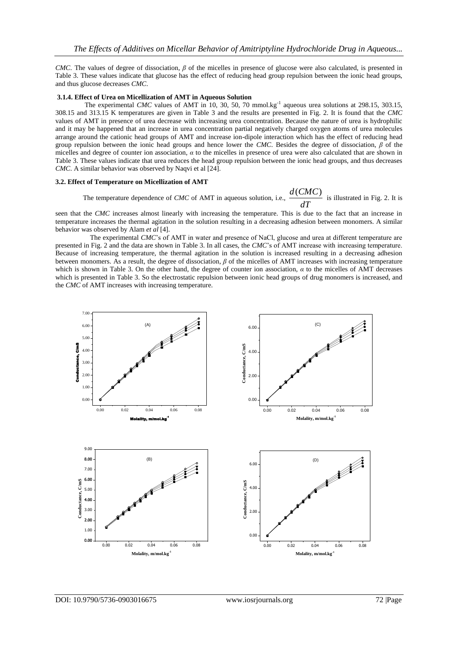*CMC*. The values of degree of dissociation, *β* of the micelles in presence of glucose were also calculated, is presented in Table 3. These values indicate that glucose has the effect of reducing head group repulsion between the ionic head groups, and thus glucose decreases *CMC*.

# **3.1.4. Effect of Urea on Micellization of AMT in Aqueous Solution**

The experimental *CMC* values of AMT in 10, 30, 50, 70 mmol.kg<sup>-1</sup> aqueous urea solutions at 298.15, 303.15, 308.15 and 313.15 K temperatures are given in Table 3 and the results are presented in Fig. 2. It is found that the *CMC* values of AMT in presence of urea decrease with increasing urea concentration. Because the nature of urea is hydrophilic and it may be happened that an increase in urea concentration partial negatively charged oxygen atoms of urea molecules arrange around the cationic head groups of AMT and increase ion-dipole interaction which has the effect of reducing head group repulsion between the ionic head groups and hence lower the *CMC*. Besides the degree of dissociation, *β* of the micelles and degree of counter ion association, *α* to the micelles in presence of urea were also calculated that are shown in Table 3. These values indicate that urea reduces the head group repulsion between the ionic head groups, and thus decreases *CMC*. A similar behavior was observed by Naqvi et al [24].

# **3.2. Effect of Temperature on Micellization of AMT**

The temperature dependence of *CMC* of AMT in aqueous solution, i.e.,  $\frac{dT}{dT}$ 

seen that the *CMC* increases almost linearly with increasing the temperature. This is due to the fact that an increase in temperature increases the thermal agitation in the solution resulting in a decreasing adhesion between monomers. A similar behavior was observed by Alam *et al* [4].

 $\frac{d(CMC)}{dt}$  is illustrated in Fig. 2. It is

 The experimental *CMC*'s of AMT in water and presence of NaCl, glucose and urea at different temperature are presented in Fig. 2 and the data are shown in Table 3. In all cases, the *CMC*'s of AMT increase with increasing temperature. Because of increasing temperature, the thermal agitation in the solution is increased resulting in a decreasing adhesion between monomers. As a result, the degree of dissociation, *β* of the micelles of AMT increases with increasing temperature which is shown in Table 3. On the other hand, the degree of counter ion association,  $\alpha$  to the micelles of AMT decreases which is presented in Table 3. So the electrostatic repulsion between ionic head groups of drug monomers is increased, and the *CMC* of AMT increases with increasing temperature.

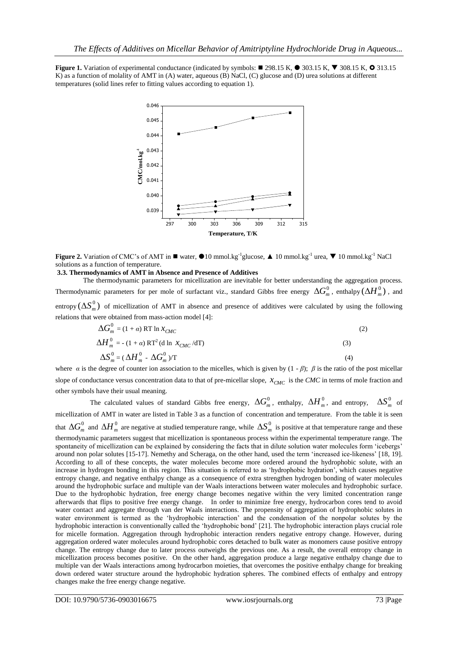**Figure 1.** Variation of experimental conductance (indicated by symbols:  $\blacksquare$  298.15 K,  $\blacksquare$  308.15 K,  $\blacksquare$  308.15 K,  $\blacksquare$  313.15 K) as a function of molality of AMT in (A) water, aqueous (B) NaCl, (C) glucose and (D) urea solutions at different temperatures (solid lines refer to fitting values according to equation 1).



**Figure 2.** Variation of CMC's of AMT in  $\blacksquare$  water,  $\bigcirc$  10 mmol.kg<sup>-1</sup> glucose,  $\blacktriangle$  10 mmol.kg<sup>-1</sup> urea,  $\nabla$  10 mmol.kg<sup>-1</sup> NaCl solutions as a function of temperature.

### **3.3. Thermodynamics of AMT in Absence and Presence of Additives**

 The thermodynamic parameters for micellization are inevitable for better understanding the aggregation process. Thermodynamic parameters for per mole of surfactant viz., standard Gibbs free energy  $\Delta G_m^0$ , enthalpy  $(\Delta H_m^0)$  , and entropy  $(\Delta S_m^0)$  of micellization of AMT in absence and presence of additives were calculated by using the following relations that were obtained from mass-action model [4]:

$$
\Delta G_m^0 = (1 + \alpha) RT \ln x_{CMC}
$$
 (2)

$$
\Delta H_m^0 = -(1 + \alpha) RT^2 (d \ln X_{CMC} / dT)
$$
\n
$$
\Delta S_m^0 = (\Delta H_m^0 - \Delta G_m^0) / T
$$
\n(3)

where *a* is the degree of counter ion association to the micelles, which is given by  $(1 - \beta)$ ;  $\beta$  is the ratio of the post micellar slope of conductance versus concentration data to that of pre-micellar slope,  $x_{CMC}$  is the CMC in terms of mole fraction and other symbols have their usual meaning.

The calculated values of standard Gibbs free energy,  $\Delta G_m^0$ , enthalpy,  $\Delta H_m^0$ , and entropy,  $\Delta S_m^0$  of micellization of AMT in water are listed in Table 3 as a function of concentration and temperature. From the table it is seen that  $\Delta G_m^0$  and  $\Delta H_m^0$  are negative at studied temperature range, while  $\Delta S_m^0$  is positive at that temperature range and these thermodynamic parameters suggest that micellization is spontaneous process within the experimental temperature range. The spontaneity of micellization can be explained by considering the facts that in dilute solution water molecules form 'icebergs' around non polar solutes [15-17]. Nemethy and Scheraga, on the other hand, used the term 'increased ice-likeness' [18, 19]. According to all of these concepts, the water molecules become more ordered around the hydrophobic solute, with an increase in hydrogen bonding in this region. This situation is referred to as 'hydrophobic hydration', which causes negative entropy change, and negative enthalpy change as a consequence of extra strengthen hydrogen bonding of water molecules around the hydrophobic surface and multiple van der Waals interactions between water molecules and hydrophobic surface. Due to the hydrophobic hydration, free energy change becomes negative within the very limited concentration range afterwards that flips to positive free energy change. In order to minimize free energy, hydrocarbon cores tend to avoid water contact and aggregate through van der Waals interactions. The propensity of aggregation of hydrophobic solutes in water environment is termed as the 'hydrophobic interaction' and the condensation of the nonpolar solutes by the hydrophobic interaction is conventionally called the 'hydrophobic bond' [21]. The hydrophobic interaction plays crucial role for micelle formation. Aggregation through hydrophobic interaction renders negative entropy change. However, during aggregation ordered water molecules around hydrophobic cores detached to bulk water as monomers cause positive entropy change. The entropy change due to later process outweighs the previous one. As a result, the overall entropy change in micellization process becomes positive. On the other hand, aggregation produce a large negative enthalpy change due to multiple van der Waals interactions among hydrocarbon moieties, that overcomes the positive enthalpy change for breaking down ordered water structure around the hydrophobic hydration spheres. The combined effects of enthalpy and entropy changes make the free energy change negative.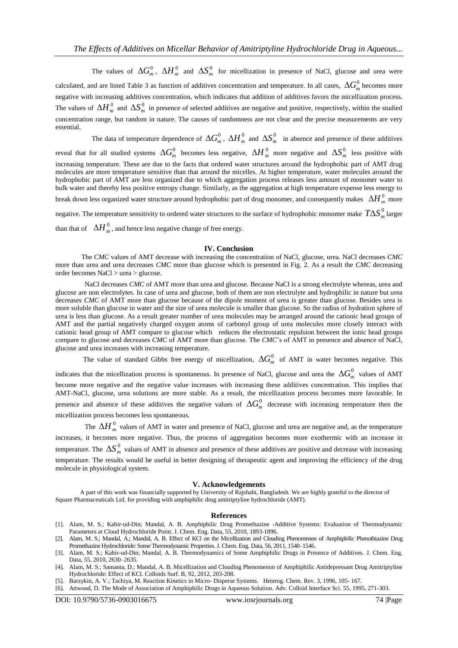The values of  $\Delta G_m^0$ ,  $\Delta H_m^0$  and  $\Delta S_m^0$  for micellization in presence of NaCl, glucose and urea were

calculated, and are listed Table 3 as function of additives concentration and temperature. In all cases,  $\Delta G_m^0$  becomes more negative with increasing additives concentration, which indicates that addition of additives favors the micellization process. The values of  $\Delta H_m^0$  and  $\Delta S_m^0$  in presence of selected additives are negative and positive, respectively, within the studied concentration range, but random in nature. The causes of randomness are not clear and the precise measurements are very essential.

The data of temperature dependence of  $\Delta G_m^0$ ,  $\Delta H_m^0$  and  $\Delta S_m^0$  in absence and presence of these additives reveal that for all studied systems  $\Delta G_m^0$  becomes less negative,  $\Delta H_m^0$  more negative and  $\Delta S_m^0$  less positive with increasing temperature. These are due to the facts that ordered water structures around the hydrophobic part of AMT drug molecules are more temperature sensitive than that around the micelles. At higher temperature, water molecules around the hydrophobic part of AMT are less organized due to which aggregation process releases less amount of monomer water to bulk water and thereby less positive entropy change. Similarly, as the aggregation at high temperature expense less energy to break down less organized water structure around hydrophobic part of drug monomer, and consequently makes  $\Delta H_m^0$  more negative. The temperature sensitivity to ordered water structures to the surface of hydrophobic monomer make  $T\Delta S_m^0$  larger than that of  $\Delta H_m^0$ , and hence less negative change of free energy.

# **IV. Conclusion**

 The *CMC* values of AMT decrease with increasing the concentration of NaCl, glucose, urea. NaCl decreases *CMC* more than urea and urea decreases *CMC* more than glucose which is presented in Fig. 2. As a result the *CMC* decreasing order becomes NaCl > urea > glucose.

NaCl decreases *CMC* of AMT more than urea and glucose. Because NaCl is a strong electrolyte whereas, urea and glucose are non electrolytes. In case of urea and glucose, both of them are non electrolyte and hydrophilic in nature but urea decreases *CMC* of AMT more than glucose because of the dipole moment of urea is greater than glucose. Besides urea is more soluble than glucose in water and the size of urea molecule is smaller than glucose. So the radius of hydration sphere of urea is less than glucose. As a result greater number of urea molecules may be arranged around the cationic head groups of AMT and the partial negatively charged oxygen atoms of carbonyl group of urea molecules more closely interact with cationic head group of AMT compare to glucose which reduces the electrostatic repulsion between the ionic head groups compare to glucose and decreases *CMC* of AMT more than glucose. The *CMC*'s of AMT in presence and absence of NaCl, glucose and urea increases with increasing temperature.

The value of standard Gibbs free energy of micellization,  $\Delta G_m^0$  of AMT in water becomes negative. This

indicates that the micellization process is spontaneous. In presence of NaCl, glucose and urea the  $\Delta G_m^0$  values of AMT become more negative and the negative value increases with increasing these additives concentration. This implies that AMT-NaCl, glucose, urea solutions are more stable. As a result, the micellization process becomes more favorable. In presence and absence of these additives the negative values of  $\Delta G_m^0$  decrease with increasing temperature then the micellization process becomes less spontaneous.

The  $\Delta H_m^0$  values of AMT in water and presence of NaCl, glucose and urea are negative and, as the temperature increases, it becomes more negative. Thus, the process of aggregation becomes more exothermic with an increase in temperature. The  $\Delta S_m^0$  values of AMT in absence and presence of these additives are positive and decrease with increasing temperature. The results would be useful in better designing of therapeutic agent and improving the efficiency of the drug molecule in physiological system.

### **V. Acknowledgements**

 A part of this work was financially supported by University of Rajshahi, Bangladesh. We are highly grateful to the director of Square Pharmaceuticals Ltd. for providing with amphiphilic drug amitriptyline hydrochloride (AMT).

### **References**

- [1]. Alam, M. S.; Kabir-ud-Din; Mandal, A. B. Amphiphilic Drug Promethazine -Additive Systems: Evaluation of Thermodynamic Parameters at Cloud Hydrochloride Point. J. Chem. Eng. Data, 55, 2010, 1893-1896.
- [2]. Alam, M. S.; Mandal, A.; Mandal, A. B. Effect of KCl on the Micellization and Clouding Phenomenon of Amphiphilic Phenothiazine Drug Promethazine Hydrochloride: Some Thermodynamic Properties. J. Chem. Eng. Data, 56, 2011, 1540–1546.
- [3]. Alam, M. S.; Kabir-ud-Din; Mandal, A. B. Thermodynamics of Some Amphiphilic Drugs in Presence of Additives. J. Chem. Eng. Data, 55, 2010, 2630–2635.
- [4]. Alam, M. S.; Samanta, D.; Mandal, A. B. Micellization and Clouding Phenomenon of Amphiphilic Antidepressant Drug Amitriptyline Hydrochloride: Effect of KCl. Colloids Surf. B, 92, 2012, 203-208.
- [5]. Barzykin, A. V.; Tachiya, M. Reaction Kinetics in Micro- Disperse Systems. Heterog. Chem. Rev. 3, 1996, 105- 167.
- [6]. Attwood, D. The Mode of Association of Amphiphilic Drugs in Aqueous Solution. Adv. Colloid Interface Sci. 55, 1995, 271-303.